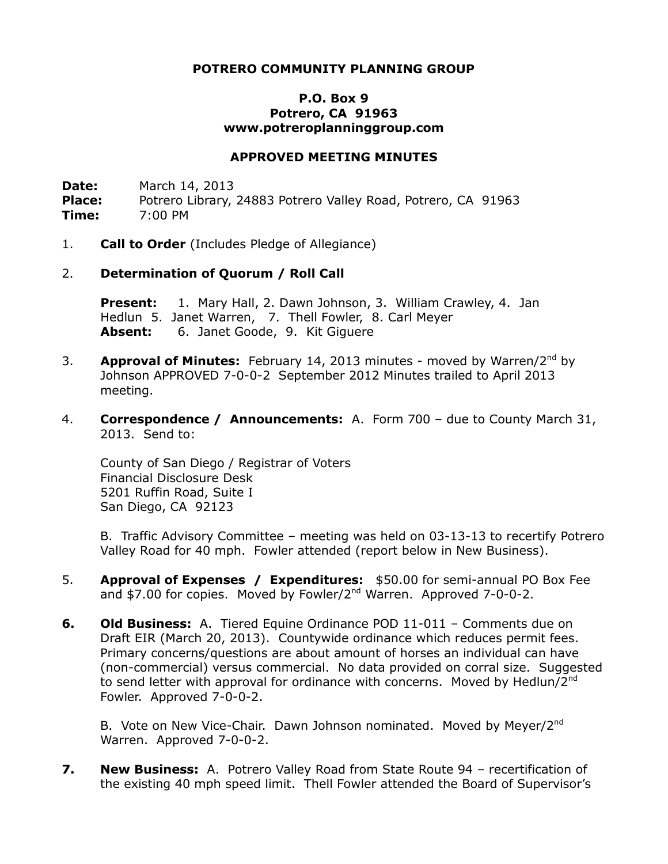# **POTRERO COMMUNITY PLANNING GROUP**

# **P.O. Box 9 Potrero, CA 91963 www.potreroplanninggroup.com**

#### **APPROVED MEETING MINUTES**

**Date:** March 14, 2013 Place: Potrero Library, 24883 Potrero Valley Road, Potrero, CA 91963 **Time:** 7:00 PM

1. **Call to Order** (Includes Pledge of Allegiance)

### 2. **Determination of Quorum / Roll Call**

**Present:** 1. Mary Hall, 2. Dawn Johnson, 3. William Crawley, 4. Jan Hedlun 5. Janet Warren, 7. Thell Fowler, 8. Carl Meyer **Absent:** 6. Janet Goode, 9. Kit Giguere

- 3. **Approval of Minutes:** February 14, 2013 minutes moved by Warren/2nd by Johnson APPROVED 7-0-0-2 September 2012 Minutes trailed to April 2013 meeting.
- 4. **Correspondence / Announcements:** A. Form 700 due to County March 31, 2013. Send to:

County of San Diego / Registrar of Voters Financial Disclosure Desk 5201 Ruffin Road, Suite I San Diego, CA 92123

B. Traffic Advisory Committee – meeting was held on 03-13-13 to recertify Potrero Valley Road for 40 mph. Fowler attended (report below in New Business).

- 5. **Approval of Expenses / Expenditures:** \$50.00 for semi-annual PO Box Fee and  $$7.00$  for copies. Moved by Fowler/ $2^{nd}$  Warren. Approved  $7-0-0-2$ .
- **6. Old Business:** A. Tiered Equine Ordinance POD 11-011 Comments due on Draft EIR (March 20, 2013). Countywide ordinance which reduces permit fees. Primary concerns/questions are about amount of horses an individual can have (non-commercial) versus commercial. No data provided on corral size. Suggested to send letter with approval for ordinance with concerns. Moved by Hedlun/2<sup>nd</sup> Fowler. Approved 7-0-0-2.

B. Vote on New Vice-Chair. Dawn Johnson nominated. Moved by Meyer/2<sup>nd</sup> Warren. Approved 7-0-0-2.

**7. New Business:** A. Potrero Valley Road from State Route 94 – recertification of the existing 40 mph speed limit. Thell Fowler attended the Board of Supervisor's